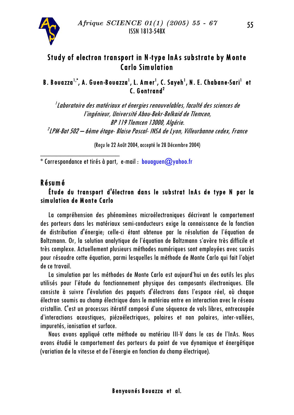

# Study of electron transport in N-type InAs substrate by Monte<br>Carlo Simulation

## B. Bovazza<sup>1,\*</sup>, A. Gven-Bovazza<sup>1</sup>, L. Amer<sup>1</sup>, C. Sayeh<sup>1</sup>, N. E. Chabane-Sari<sup>1</sup> et<br>C. Gontrand<sup>2</sup>

 $1$ Laboratoire des matériaux et énergies renouvelables, faculté des sciences de l'ingénieur, Université Abou-Bekr-Belkgid de Tlemcen, BP 119 Tlemcen 13000, Alaérie.  $^{2}$ LPM-Bat 502  $-$  6ème étage- Blaise Pascal- INSA de Lyon, Villeurbanne cedex, France

(Recu le 22 Août 2004, accepté le 28 Décembre 2004)

\* Correspondance et tirés à part, e-mail : bouaguen@yahoo.fr

BBBBBBBBBBBBBBBBBBBB

#### Résumé

## Étude du transport d'électron dans le substrat InAs de type N par la simulation de Monte Carlo

La compréhension des phénomènes microélectroniques décrivant le comportement des porteurs dans les matériaux semi-conducteurs exige la connaissance de la fonction de distribution d'énergie; celle-ci étant obtenue par la résolution de l'équation de Boltzmann. Or, la solution analytique de l'équation de Boltzmann s'avère très difficile et très complexe. Actuellement plusieurs méthodes numériques sont employées avec succès pour résoudre cette équation, parmi lesquelles la méthode de Monte Carlo qui fait l'objet de ce travail.

La simulation par les méthodes de Monte Carlo est aujourd'hui un des outils les plus utilisés pour l'étude du fonctionnement physique des composants électroniques. Elle consiste à suivre l'évolution des paquets d'électrons dans l'espace réel, où chaque électron soumis au champ électrique dans le matériau entre en interaction avec le réseau cristallin. C'est un processus itératif composé d'une séquence de vols libres, entrecoupée d'interactions acoustiques, piézoélectriques, polaires et non polaires, inter-vallées, impuretés, ionisation et surface.

Nous avons appliqué cette méthode au matériau III-V dans le cas de l'InAs. Nous avons étudié le comportement des porteurs du point de vue dynamique et énergétique (variation de la vitesse et de l'énergie en fonction du champ électrique).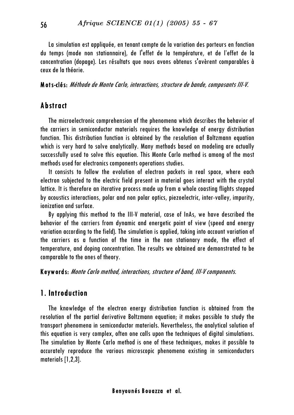La simulation est appliquée, en tenant compte de la variation des porteurs en fonction du temps (mode non stationnaire), de l'effet de la température, et de l'effet de la concentration (dopage). Les résultats que nous avons obtenus s'avèrent comparables à ceux de la théorie.

Mots-clés: Méthode de Monte Carlo, interactions, structure de bande, composants III-V.

## Abstract

The microelectronic comprehension of the phenomena which describes the behavior of the carriers in semiconductor materials requires the knowledge of energy distribution function. This distribution function is obtained by the resolution of Boltzmann equation which is very hard to solve analytically. Many methods based on modeling are actually successfully used to solve this equation. This Monte Carlo method is among of the most methods used for electronics components operations studies.

It consists to follow the evolution of electron packets in real space, where each electron subjected to the electric field present in material goes interact with the crystal lattice. It is therefore an iterative process made up from a whole coasting flights stopped by acoustics interactions, polar and non polar optics, piezoelectric, inter-valley, impurity, ionization and surface.

By applying this method to the III-V material, case of InAs, we have described the behavior of the carriers from dynamic and energetic point of view (speed and energy variation according to the field). The simulation is applied, taking into account variation of the carriers as a function of the time in the non stationary mode, the effect of temperature, and doping concentration. The results we obtained are demonstrated to be comparable to the ones of theory.

Keywords: Monte Carlo method, interactions, structure of band, III-V components.

### 1. Introduction

The knowledge of the electron energy distribution function is obtained from the resolution of the partial derivative Boltzmann equation; it makes possible to study the transport phenomena in semiconductor materials. Nevertheless, the analytical solution of this equation is very complex, often one calls upon the techniques of digital simulations. The simulation by Monte Carlo method is one of these techniques, makes it possible to accurately reproduce the various microscopic phenomena existing in semiconductors materials  $[1,2,3]$ .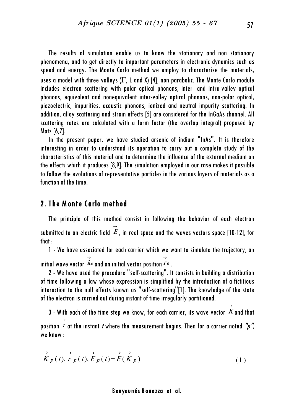The results of simulation enable us to know the stationary and non stationary phenomena, and to get directly to important parameters in electronic dynamics such as speed and energy. The Monte Carlo method we employ to characterize the materials, uses a model with three valleys ( $\Gamma$ , L and X) [4], non parabolic. The Monte Carlo module includes electron scattering with polar optical phonons, inter- and intra-valley optical phonons, equivalent and nonequivalent inter-valley optical phonons, non-polar optical, piezoelectric, impurities, acoustic phonons, ionized and neutral impurity scattering. In addition, alloy scattering and strain effects [5] are considered for the InGaAs channel. All scattering rates are calculated with a form factor (the overlap integral) proposed by  $Matz [6,7]$ .

In the present paper, we have studied arsenic of indium "InAs". It is therefore interesting in order to understand its operation to carry out a complete study of the characteristics of this material and to determine the influence of the external medium on the effects which it produces [8,9]. The simulation employed in our case makes it possible to follow the evolutions of representative particles in the various layers of materials as a function of the time.

#### 2. The Monte Carlo method

The principle of this method consist in following the behavior of each electron submitted to an electric field  $\ket{E}$ , in real space and the waves vectors space [10-12], for  $that:$ 

1 - We have associated for each carrier which we want to simulate the trajectory, an initial wave vector  $\overrightarrow{K}_0$  and an initial vector position  $\overrightarrow{r}_0$  .

2 - We have used the procedure "self-scattering". It consists in building a distribution of time following a law whose expression is simplified by the introduction of a fictitious interaction to the null effects known as "self-scattering"[1]. The knowledge of the state of the electron is carried out during instant of time irregularly partitioned.

3 - With each of the time step we know, for each carrier, its wave vector  $\overline{\hat{K}}$  and that position  $\overrightarrow{I}$  at the instant *t* where the measurement begins. Then for a carrier noted "p", we know:

$$
\overrightarrow{K}_p(t), \overrightarrow{r}_p(t), \overrightarrow{E}_p(t) = \overrightarrow{E}(\overrightarrow{K}_p)
$$
\n(1)

#### Benyounés Bouazza et al.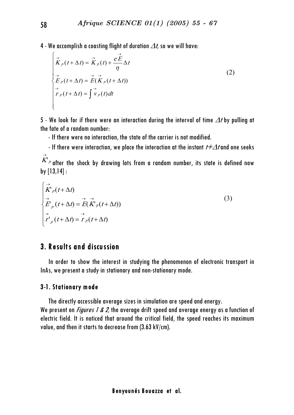4 - We accomplish a coasting flight of duration  $\Delta t$ , so we will have:

$$
\overrightarrow{K}_{p}(t+\Delta t) = \overrightarrow{K}_{p}(t) + \frac{e\overrightarrow{E}}{\eta} \Delta t
$$
\n
$$
\overrightarrow{E}_{p}(t+\Delta t) = \overrightarrow{E}(\overrightarrow{K}_{p}(t+\Delta t))
$$
\n
$$
\overrightarrow{r}_{p}(t+\Delta t) = \int \overrightarrow{v}_{p}(t) dt
$$
\n(2)

5 - We look for if there were an interaction during the interval of time  $\varDelta t$  by pulling at the fate of a random number.

- If there were no interaction, the state of the carrier is not modified.

- If there were interaction, we place the interaction at the instant  $t+\Delta t$  and one seeks

 $\overline{K}^{\rho}$  after the shock by drawing lots from a random number, its state is defined now by  $[13, 14]$ :

$$
\begin{cases}\n\overrightarrow{K}_{p}(t+\Delta t) \\
\overrightarrow{F}_{p}(t+\Delta t) = \overrightarrow{E}(\overrightarrow{K}_{p}(t+\Delta t)) \\
\overrightarrow{r}_{p}(t+\Delta t) = \overrightarrow{r}_{p}(t+\Delta t)\n\end{cases}
$$
\n(3)

## 3. Results and discussion

In order to show the interest in studying the phenomenon of electronic transport in InAs, we present a study in stationary and non-stationary mode.

#### 3-1. Stationary mode

The directly accessible average sizes in simulation are speed and energy. We present on *Figures 1 & 2*, the average drift speed and average energy as a function of electric field. It is noticed that around the critical field, the speed reaches its maximum value, and then it starts to decrease from (3.63 kV/cm).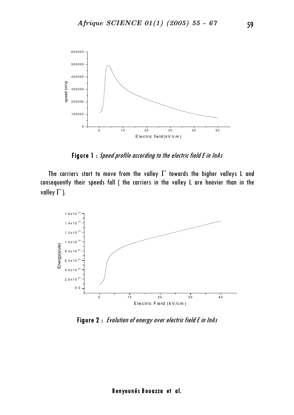

Figure 1 : Speed profile according to the electric field E in InAs

The carriers start to move from the valley  $\Gamma$  towards the higher valleys L and consequently their speeds fall ( the carriers in the valley L are heavier than in the valley  $\Gamma$  ).



Figure 2 : Evolution of energy over electric field E in InAs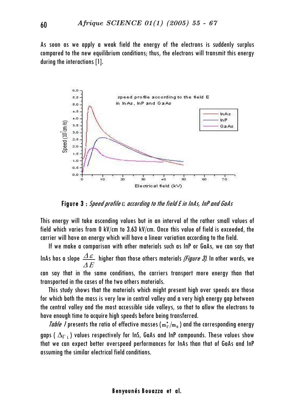As soon as we apply a weak field the energy of the electrons is suddenly surplus compared to the new equilibrium conditions; thus, the electrons will transmit this energy during the interactions [1].



Figure 3 : Speed profile  $\varepsilon$  according to the field E in InAs, InP and GaAs

This energy will take ascending values but in an interval of the rather small values of field which varies from 0 kV/cm to 3.63 kV/cm. Once this value of field is exceeded, the carrier will have an energy which will have a linear variation according to the field.

If we make a comparison with other materials such as InP or GaAs, we can say that InAs has a slope  $\frac{\Delta \mathcal{E}}{\Delta E}$  higher than those others materials *(Figure 3)*. In other words, we can say that in the same conditions, the carriers transport more energy than that transported in the cases of the two others materials.

This study shows that the materials which might present high over speeds are those for which both the mass is very low in central valley and a very high energy gap between the central valley and the most accessible side valleys, so that to allow the electrons to have enough time to acquire high speeds before being transferred.

*Table 1* presents the ratio of effective masses ( $m_r^*/m_o$ ) and the corresponding energy gaps ( $\Delta_{\Gamma}$ ,) values respectively for InS, GaAs and InP compounds. These values show that we can expect better overspeed performances for lnAs than that of GaAs and InP assuming the similar electrical field conditions.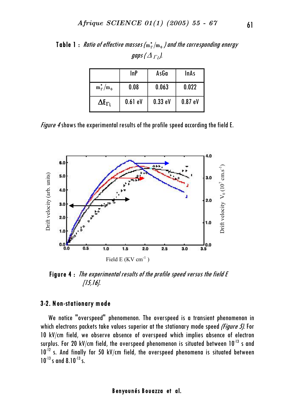|                                | InP       | AsGa    | <b>InAs</b> |
|--------------------------------|-----------|---------|-------------|
| $m_{\Gamma}^*/m_0$             | 0.08      | 0.063   | 0.022       |
| $\Delta \mathbf{E_{\Gamma I}}$ | $0.61$ eV | 0.33 eV | 0.87eV      |

Table 1 : Ratio of effective masses ( $\text{m}_\text{r}^\star/\text{m}_\text{o}$  ) and the corresponding energy gaps (  $\varDelta$   $_{\varGamma}$  ).

*Figure 4* shows the experimental results of the profile speed according the field E.



Figure  $4:$  The experimental results of the profile speed versus the field  $E$  $[15,16]$ .

#### 3-2. Non-stationary mode

We notice "overspeed" phenomenon. The overspeed is a transient phenomenon in which electrons packets take values superior at the stationary mode speed (Figure 5). For 10 kV/cm field, we observe absence of overspeed which implies absence of electron surplus. For 20 kV/cm field, the overspeed phenomenon is situated between  $10^{-13}$  s and  $10^{-12}$  s. And finally for 50 kV/cm field, the overspeed phenomena is situated between  $10^{-13}$  s and 8.10<sup>-13</sup> s.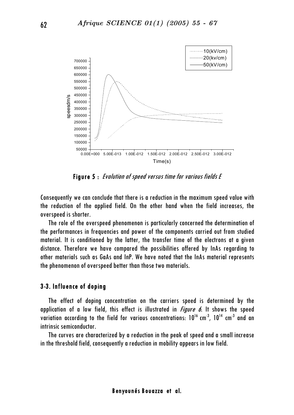

Figure 5: Evolution of speed versus time for various fields E

Consequently we can conclude that there is a reduction in the maximum speed value with the reduction of the applied field. On the other hand when the field increases, the overspeed is shorter.

The role of the overspeed phenomenon is particularly concerned the determination of the performances in frequencies and power of the components carried out from studied material. It is conditioned by the latter, the transfer time of the electrons at a given distance. Therefore we have compared the possibilities offered by InAs regarding to other materials such as GaAs and InP. We have noted that the InAs material represents the phenomenon of overspeed better than those two materials.

#### 3-3. Influence of doping

The effect of doping concentration on the carriers speed is determined by the application of a low field, this effect is illustrated in *Figure 6*. It shows the speed variation according to the field for various concentrations: 10<sup>16</sup> cm<sup>-3</sup>, 10<sup>14</sup> cm<sup>-3</sup> and an intrinsic semiconductor.

The curves are characterized by a reduction in the peak of speed and a small increase in the threshold field, consequently a reduction in mobility appears in low field.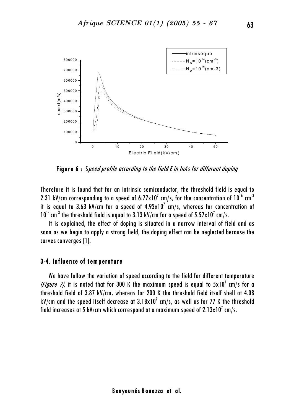

Figure 6: Speed profile according to the field E in InAs for different doping

Therefore it is found that for an intrinsic semiconductor, the threshold field is equal to 2.31 kV/cm corresponding to a speed of 6.77 $\times$ 10<sup>7</sup> cm/s, for the concentration of  $10^{16}$  cm<sup>-3</sup> it is equal to 3.63 kV/cm for a speed of  $4.92 \times 10^7$  cm/s, whereas for concentration of  $10^{14}$  cm<sup>-3</sup> the threshold field is equal to 3.13 kV/cm for a speed of 5.57x10<sup>7</sup> cm/s.

It is explained, the effect of doping is situated in a narrow interval of field and as soon as we beain to apply a strona field, the dopina effect can be nealected because the curves converges [1].

#### 3-4. Influence of temperature

We have follow the variation of speed according to the field for different temperature *(Figure 7)*, it is noted that for 300 K the maximum speed is equal to  $5x10^7$  cm/s for a threshold field of 3.87 kV/cm, whereas for 200 K the threshold field itself shell at 4.08 kV/cm and the speed itself decrease at 3.18x10<sup>7</sup> cm/s, as well as for 77 K the threshold field increases at 5 kV/cm which correspond at a maximum speed of  $2.13 \times 10^{7}$  cm/s.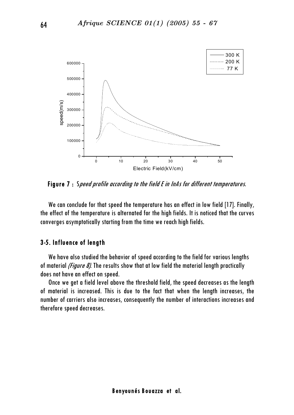

Figure 7: Speed profile according to the field E in InAs for different temperatures.

We can conclude for that speed the temperature has an effect in low field [17]. Finally, the effect of the temperature is alternated for the high fields. It is noticed that the curves converges asymptotically starting from the time we reach high fields.

#### 3-5. Influence of length

We have also studied the behavior of speed according to the field for various lengths of material (Figure 8). The results show that at low field the material length practically does not have an effect on speed.

Once we get a field level above the threshold field, the speed decreases as the length of material is increased. This is due to the fact that when the length increases, the number of carriers also increases, consequently the number of interactions increases and therefore speed decreases.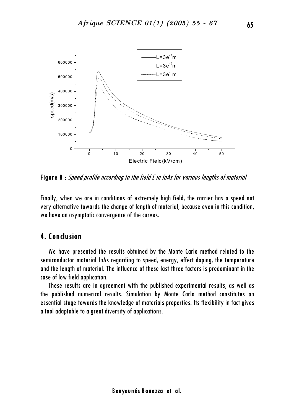

**Figure 8**: Speed profile according to the field E in InAs for various lengths of material

Finally, when we are in conditions of extremely high field, the carrier has a speed not very alternative towards the change of length of material, because even in this condition, we have an asymptotic convergence of the curves.

## 4. Conclusion

We have presented the results obtained by the Monte Carlo method related to the semiconductor material lnAs regarding to speed, energy, effect doping, the temperature and the length of material. The influence of these last three factors is predominant in the case of low field application.

These results are in agreement with the published experimental results, as well as the published numerical results. Simulation by Monte Carlo method constitutes an essential stage towards the knowledge of materials properties. Its flexibility in fact gives a tool adaptable to a great diversity of applications.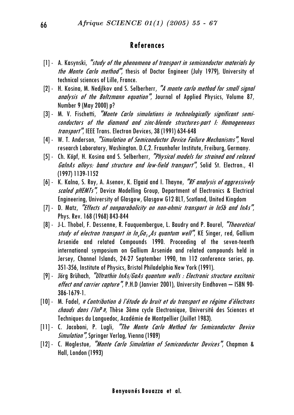## References

- $[1]$  A. Kasynski, "study of the phenomena of transport in semiconductor materials by the Monte Carlo method", thesis of Doctor Engineer (July 1979), University of technical sciences of Lille, France.
- [2] H. Kosina, M. Nedjlkov and S. Selberherr, "A monte carlo method for small signal analysis of the Boltzmann equation", Journal of Applied Physics, Volume 87, Number 9 (May 2000) p?
- [3] M. V. Fischetti, "Monte Carlo simulations in technologically significant semiconductors of the diamond and zinc-blende structures-part I: Homogeneous transport", IEEE Trans. Electron Devices, 38 (1991) 634-648
- [4] W. T. Anderson, "Simulation of Semiconductor Device Failure Mechanisms". Naval research Laboratory, Washington. D.C,2. Fraunhofer Institute, Freiburg, Germany.
- [5] Ch. Köpf, H. Kosina and S. Selberherr, "Physical models for strained and relaxed GalnAs alloys: band structure and low-field transport", Solid St. Electron., 41 (1997) 1139-1152
- $[6]$  K. Kalna, S. Roy, A. Asenov, K. Elgaid and I. Thayne, "RF analysis of aggressively scaled pHEMTs", Device Modelling Group, Department of Electronics & Electrical Engineering, University of Glasgow, Glasgow G12 8LT, Scotland, United Kingdom
- $[7]$  D. Matz, *"Effects of nonparabolicity on non-ohmic transport in InSb and InAs"*,<br>Phys. Rev. 168 (1968) 843-844
- [8] J-L. Thobel, F. Dessenne, R. Fauguembergue, L. Baudry and P. Bourel, "Theoretical study of electron transport in  $In_xGa_{1x}As$  quantum well", KE Singer, red, Gallium Arsenide and related Compounds 1990. Proceeding of the seven-teenth international symposium on Gallium Arsenide and related compounds held in Jersey, Channel Islands, 24-27 September 1990, tm 112 conference series, pp.<br>351-356, Institute of Physics, Bristol Philadelphia New York (1991).
- $[9]$  Jörg Brühach, "Ultrathin InAs/GaAs quantum wells : Electronic structure excitonic *effect and carrier capture",* P.H.D (Janvier 2001), University Eindhoven — ISBN 90-<br>386-1679-1.
- [10] M. Fadel, *« Contribution à l'étude du bruit et du transport en régime d'électrons* chavds dans l'InP v, Thèse 3ème cycle Electronique, Université des Sciences et Techniques du Languedoc, Académie de Montpellier (Juillet 1983).
- [11] C. Jacoboni, P. Lugli, "The Monte Carlo Method for Semiconductor Device **Simulation**", Springer Verlag, Vienna (1989)
- [12] C. Moglestue, "Monte Carlo Simulation of Semiconductor Devices", Chapman & Hall, London (1993)